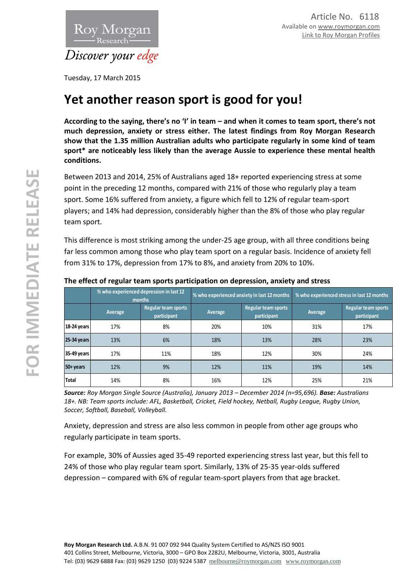

Tuesday, 17 March 2015

# **Yet another reason sport is good for you!**

**According to the saying, there's no 'I' in team – and when it comes to team sport, there's not much depression, anxiety or stress either. The latest findings from Roy Morgan Research show that the 1.35 million Australian adults who participate regularly in some kind of team sport\* are noticeably less likely than the average Aussie to experience these mental health conditions.**

Between 2013 and 2014, 25% of Australians aged 18+ reported experiencing stress at some point in the preceding 12 months, compared with 21% of those who regularly play a team sport. Some 16% suffered from anxiety, a figure which fell to 12% of regular team-sport players; and 14% had depression, considerably higher than the 8% of those who play regular team sport.

This difference is most striking among the under-25 age group, with all three conditions being far less common among those who play team sport on a regular basis. Incidence of anxiety fell from 31% to 17%, depression from 17% to 8%, and anxiety from 20% to 10%.

|             | % who experienced depression in last 12<br>months |                                    | % who experienced anxiety in last 12 months |                                    | % who experienced stress in last 12 months |                                           |
|-------------|---------------------------------------------------|------------------------------------|---------------------------------------------|------------------------------------|--------------------------------------------|-------------------------------------------|
|             | Average                                           | Regular team sports<br>participant | Average                                     | Regular team sports<br>participant | Average                                    | <b>Regular team sports</b><br>participant |
| 18-24 years | 17%                                               | 8%                                 | 20%                                         | 10%                                | 31%                                        | 17%                                       |
| 25-34 years | 13%                                               | 6%                                 | 18%                                         | 13%                                | 28%                                        | 23%                                       |
| 35-49 years | 17%                                               | 11%                                | 18%                                         | 12%                                | 30%                                        | 24%                                       |
| 50+ years   | 12%                                               | 9%                                 | 12%                                         | 11%                                | 19%                                        | 14%                                       |
| Total       | 14%                                               | 8%                                 | 16%                                         | 12%                                | 25%                                        | 21%                                       |

## **The effect of regular team sports participation on depression, anxiety and stress**

*Source: Roy Morgan Single Source (Australia), January 2013 – December 2014 (n=95,696). Base: Australians 18+. NB: Team sports include: AFL, Basketball, Cricket, Field hockey, Netball, Rugby League, Rugby Union, Soccer, Softball, Baseball, Volleyball.*

Anxiety, depression and stress are also less common in people from other age groups who regularly participate in team sports.

For example, 30% of Aussies aged 35-49 reported experiencing stress last year, but this fell to 24% of those who play regular team sport. Similarly, 13% of 25-35 year-olds suffered depression – compared with 6% of regular team-sport players from that age bracket.